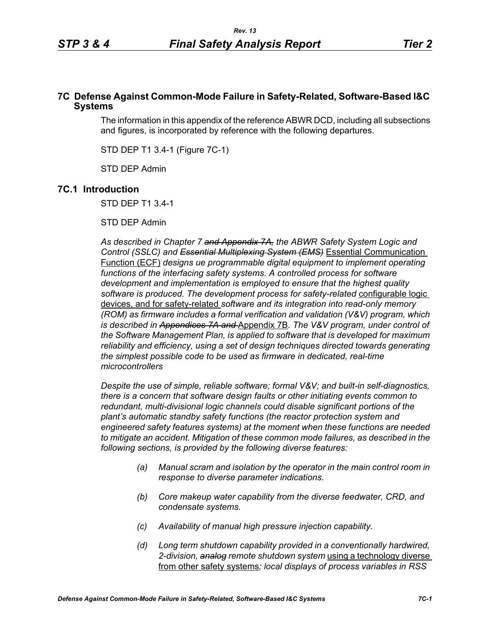### **7C Defense Against Common-Mode Failure in Safety-Related, Software-Based I&C Systems**

The information in this appendix of the reference ABWR DCD, including all subsections and figures, is incorporated by reference with the following departures.

STD DEP T1 3.4-1 (Figure 7C-1)

STD DEP Admin

## **7C.1 Introduction**

STD DEP T1 3.4-1

STD DEP Admin

*As described in Chapter 7 and Appendix 7A, the ABWR Safety System Logic and Control (SSLC) and Essential Multiplexing System (EMS)* Essential Communication Function (ECF) *designs ue programmable digital equipment to implement operating*  functions of the interfacing safety systems. A controlled process for software *development and implementation is employed to ensure that the highest quality software is produced. The development process for safety-related* configurable logic devices, and for safety-related *software and its integration into read-only memory (ROM) as firmware includes a formal verification and validation (V&V) program, which is described in Appendices 7A and* Appendix 7B*. The V&V program, under control of the Software Management Plan, is applied to software that is developed for maximum reliability and efficiency, using a set of design techniques directed towards generating the simplest possible code to be used as firmware in dedicated, real-time microcontrollers*

*Despite the use of simple, reliable software; formal V&V; and built-in self-diagnostics, there is a concern that software design faults or other initiating events common to redundant, multi-divisional logic channels could disable significant portions of the plant's automatic standby safety functions (the reactor protection system and engineered safety features systems) at the moment when these functions are needed to mitigate an accident. Mitigation of these common mode failures, as described in the following sections, is provided by the following diverse features:*

- *(a) Manual scram and isolation by the operator in the main control room in response to diverse parameter indications.*
- *(b) Core makeup water capability from the diverse feedwater, CRD, and condensate systems.*
- *(c) Availability of manual high pressure injection capability.*
- *(d) Long term shutdown capability provided in a conventionally hardwired, 2-division, analog remote shutdown system* using a technology diverse from other safety systems*; local displays of process variables in RSS*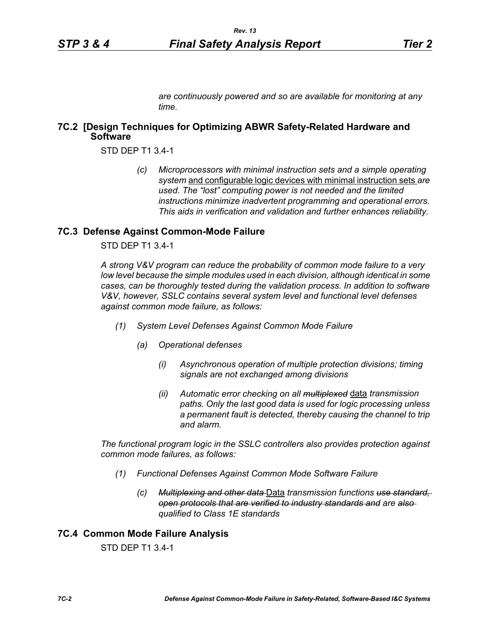*are continuously powered and so are available for monitoring at any time.*

### **7C.2 [Design Techniques for Optimizing ABWR Safety-Related Hardware and Software**

STD DEP T1 3.4-1

*(c) Microprocessors with minimal instruction sets and a simple operating system* and configurable logic devices with minimal instruction sets *are used. The "lost" computing power is not needed and the limited instructions minimize inadvertent programming and operational errors. This aids in verification and validation and further enhances reliability.*

#### **7C.3 Defense Against Common-Mode Failure**

STD DEP T1 3.4-1

*A strong V&V program can reduce the probability of common mode failure to a very low level because the simple modules used in each division, although identical in some cases, can be thoroughly tested during the validation process. In addition to software V&V, however, SSLC contains several system level and functional level defenses against common mode failure, as follows:*

- *(1) System Level Defenses Against Common Mode Failure*
	- *(a) Operational defenses*
		- *(i) Asynchronous operation of multiple protection divisions; timing signals are not exchanged among divisions*
		- *(ii) Automatic error checking on all multiplexed* data *transmission paths. Only the last good data is used for logic processing unless a permanent fault is detected, thereby causing the channel to trip and alarm.*

*The functional program logic in the SSLC controllers also provides protection against common mode failures, as follows:*

- *(1) Functional Defenses Against Common Mode Software Failure*
	- *(c) Multiplexing and other data* Data *transmission functions use standard, open protocols that are verified to industry standards and are also qualified to Class 1E standards*

## **7C.4 Common Mode Failure Analysis**

STD DEP T1 3.4-1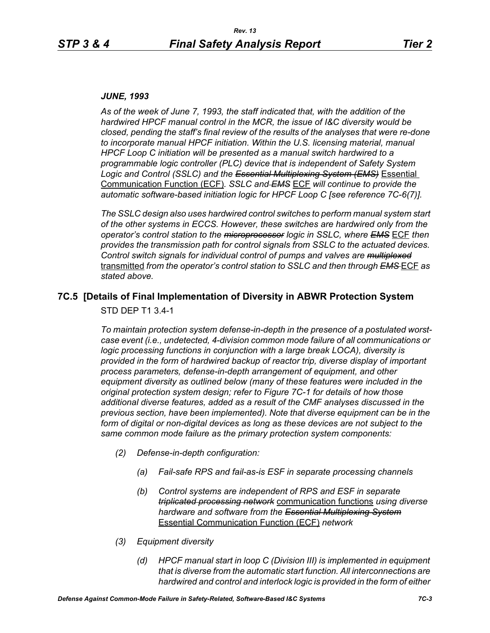#### *JUNE, 1993*

*As of the week of June 7, 1993, the staff indicated that, with the addition of the hardwired HPCF manual control in the MCR, the issue of I&C diversity would be closed, pending the staff's final review of the results of the analyses that were re-done to incorporate manual HPCF initiation. Within the U.S. licensing material, manual HPCF Loop C initiation will be presented as a manual switch hardwired to a programmable logic controller (PLC) device that is independent of Safety System Logic and Control (SSLC) and the Essential Multiplexing System (EMS)* Essential Communication Function (ECF)*. SSLC and EMS* ECF *will continue to provide the automatic software-based initiation logic for HPCF Loop C [see reference 7C-6(7)].*

*The SSLC design also uses hardwired control switches to perform manual system start of the other systems in ECCS. However, these switches are hardwired only from the operator's control station to the microprocessor logic in SSLC, where EMS* ECF *then provides the transmission path for control signals from SSLC to the actuated devices. Control switch signals for individual control of pumps and valves are multiplexed* transmitted *from the operator's control station to SSLC and then through EMS* ECF *as stated above.*

# **7C.5 [Details of Final Implementation of Diversity in ABWR Protection System**

STD DEP T1 3.4-1

*To maintain protection system defense-in-depth in the presence of a postulated worstcase event (i.e., undetected, 4-division common mode failure of all communications or logic processing functions in conjunction with a large break LOCA), diversity is provided in the form of hardwired backup of reactor trip, diverse display of important process parameters, defense-in-depth arrangement of equipment, and other equipment diversity as outlined below (many of these features were included in the original protection system design; refer to Figure 7C-1 for details of how those additional diverse features, added as a result of the CMF analyses discussed in the previous section, have been implemented). Note that diverse equipment can be in the*  form of digital or non-digital devices as long as these devices are not subject to the *same common mode failure as the primary protection system components:*

- *(2) Defense-in-depth configuration:*
	- *(a) Fail-safe RPS and fail-as-is ESF in separate processing channels*
	- *(b) Control systems are independent of RPS and ESF in separate triplicated processing network* communication functions *using diverse hardware and software from the Essential Multiplexing System* Essential Communication Function (ECF) *network*
- *(3) Equipment diversity*
	- *(d) HPCF manual start in loop C (Division III) is implemented in equipment that is diverse from the automatic start function. All interconnections are hardwired and control and interlock logic is provided in the form of either*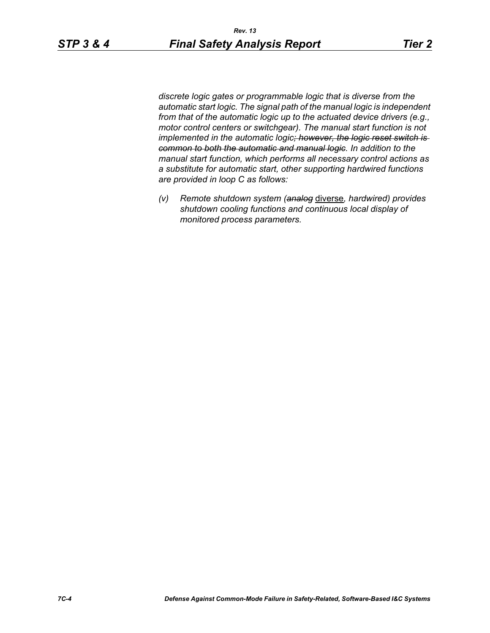*discrete logic gates or programmable logic that is diverse from the automatic start logic. The signal path of the manual logic is independent from that of the automatic logic up to the actuated device drivers (e.g., motor control centers or switchgear). The manual start function is not implemented in the automatic logic; however, the logic reset switch is common to both the automatic and manual logic. In addition to the manual start function, which performs all necessary control actions as a substitute for automatic start, other supporting hardwired functions are provided in loop C as follows:*

*(v) Remote shutdown system (analog* diverse*, hardwired) provides shutdown cooling functions and continuous local display of monitored process parameters.*